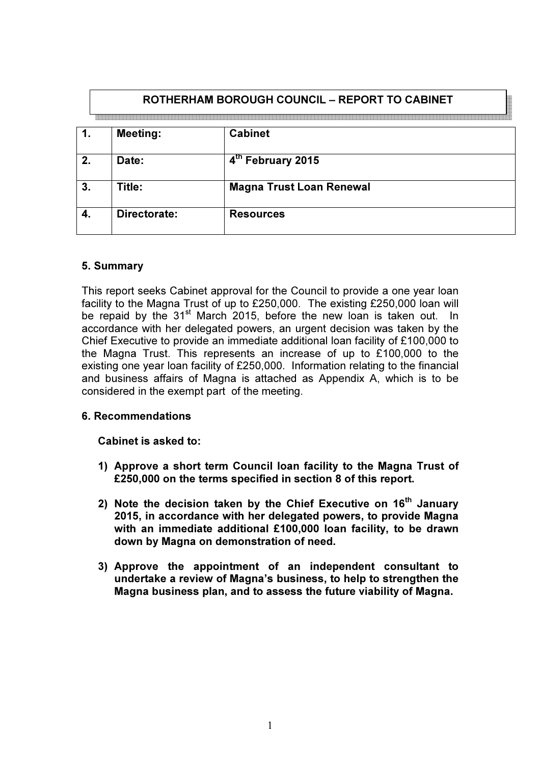|    | ROTHERHAM BOROUGH COUNCIL - REPORT TO CABINET |                                 |  |  |
|----|-----------------------------------------------|---------------------------------|--|--|
|    | <b>Meeting:</b>                               | <b>Cabinet</b>                  |  |  |
| 2. | Date:                                         | 4 <sup>th</sup> February 2015   |  |  |
| 3. | Title:                                        | <b>Magna Trust Loan Renewal</b> |  |  |
| 4. | Directorate:                                  | <b>Resources</b>                |  |  |

## 5. Summary

This report seeks Cabinet approval for the Council to provide a one year loan facility to the Magna Trust of up to £250,000. The existing £250,000 loan will be repaid by the 31<sup>st</sup> March 2015, before the new loan is taken out. In accordance with her delegated powers, an urgent decision was taken by the Chief Executive to provide an immediate additional loan facility of £100,000 to the Magna Trust. This represents an increase of up to £100,000 to the existing one year loan facility of £250,000. Information relating to the financial and business affairs of Magna is attached as Appendix A, which is to be considered in the exempt part of the meeting.

#### 6. Recommendations

Cabinet is asked to:

- 1) Approve a short term Council loan facility to the Magna Trust of £250,000 on the terms specified in section 8 of this report.
- 2) Note the decision taken by the Chief Executive on  $16<sup>th</sup>$  January 2015, in accordance with her delegated powers, to provide Magna with an immediate additional £100,000 loan facility, to be drawn down by Magna on demonstration of need.
- 3) Approve the appointment of an independent consultant to undertake a review of Magna's business, to help to strengthen the Magna business plan, and to assess the future viability of Magna.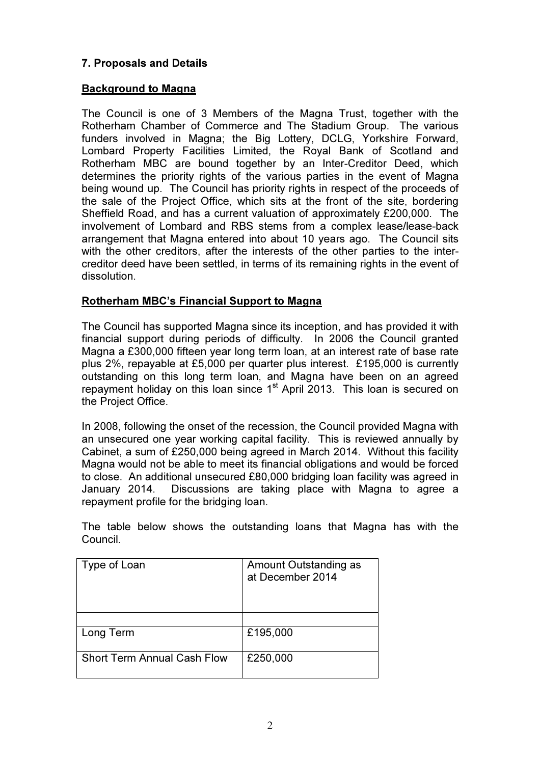## 7. Proposals and Details

## Background to Magna

The Council is one of 3 Members of the Magna Trust, together with the Rotherham Chamber of Commerce and The Stadium Group. The various funders involved in Magna; the Big Lottery, DCLG, Yorkshire Forward, Lombard Property Facilities Limited, the Royal Bank of Scotland and Rotherham MBC are bound together by an Inter-Creditor Deed, which determines the priority rights of the various parties in the event of Magna being wound up. The Council has priority rights in respect of the proceeds of the sale of the Project Office, which sits at the front of the site, bordering Sheffield Road, and has a current valuation of approximately £200,000. The involvement of Lombard and RBS stems from a complex lease/lease-back arrangement that Magna entered into about 10 years ago. The Council sits with the other creditors, after the interests of the other parties to the intercreditor deed have been settled, in terms of its remaining rights in the event of dissolution.

## Rotherham MBC's Financial Support to Magna

The Council has supported Magna since its inception, and has provided it with financial support during periods of difficulty. In 2006 the Council granted Magna a £300,000 fifteen year long term loan, at an interest rate of base rate plus 2%, repayable at £5,000 per quarter plus interest. £195,000 is currently outstanding on this long term loan, and Magna have been on an agreed repayment holiday on this loan since 1<sup>st</sup> April 2013. This loan is secured on the Project Office.

In 2008, following the onset of the recession, the Council provided Magna with an unsecured one year working capital facility. This is reviewed annually by Cabinet, a sum of £250,000 being agreed in March 2014. Without this facility Magna would not be able to meet its financial obligations and would be forced to close. An additional unsecured £80,000 bridging loan facility was agreed in January 2014. Discussions are taking place with Magna to agree a repayment profile for the bridging loan.

The table below shows the outstanding loans that Magna has with the Council.

| Type of Loan                       | Amount Outstanding as<br>at December 2014 |
|------------------------------------|-------------------------------------------|
|                                    |                                           |
| Long Term                          | £195,000                                  |
| <b>Short Term Annual Cash Flow</b> | £250,000                                  |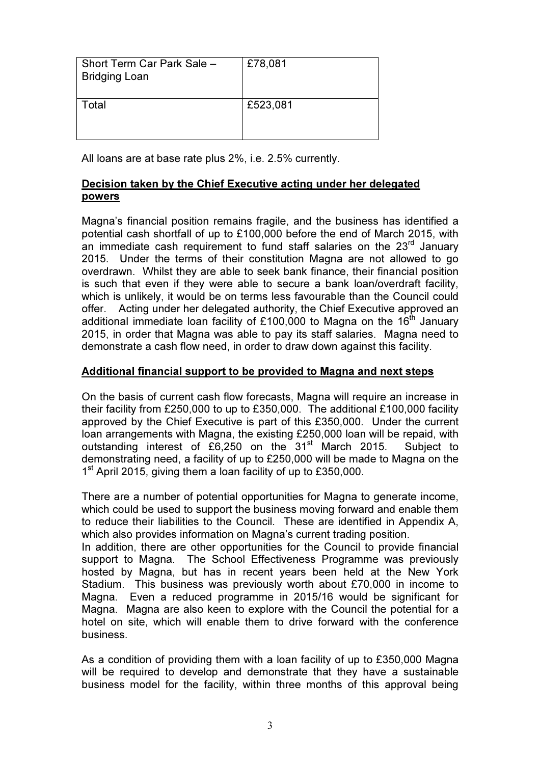| Short Term Car Park Sale -<br><b>Bridging Loan</b> | £78,081  |
|----------------------------------------------------|----------|
| Total                                              | £523,081 |

All loans are at base rate plus 2%, i.e. 2.5% currently.

## Decision taken by the Chief Executive acting under her delegated powers

Magna's financial position remains fragile, and the business has identified a potential cash shortfall of up to £100,000 before the end of March 2015, with an immediate cash requirement to fund staff salaries on the  $23<sup>rd</sup>$  January 2015. Under the terms of their constitution Magna are not allowed to go overdrawn. Whilst they are able to seek bank finance, their financial position is such that even if they were able to secure a bank loan/overdraft facility, which is unlikely, it would be on terms less favourable than the Council could offer. Acting under her delegated authority, the Chief Executive approved an additional immediate loan facility of £100,000 to Magna on the 16<sup>th</sup> January 2015, in order that Magna was able to pay its staff salaries. Magna need to demonstrate a cash flow need, in order to draw down against this facility.

#### Additional financial support to be provided to Magna and next steps

On the basis of current cash flow forecasts, Magna will require an increase in their facility from £250,000 to up to £350,000. The additional £100,000 facility approved by the Chief Executive is part of this £350,000. Under the current loan arrangements with Magna, the existing £250,000 loan will be repaid, with outstanding interest of  $£6,250$  on the  $31<sup>st</sup>$  March 2015. Subject to demonstrating need, a facility of up to £250,000 will be made to Magna on the 1<sup>st</sup> April 2015, giving them a loan facility of up to £350,000.

There are a number of potential opportunities for Magna to generate income, which could be used to support the business moving forward and enable them to reduce their liabilities to the Council. These are identified in Appendix A, which also provides information on Magna's current trading position.

In addition, there are other opportunities for the Council to provide financial support to Magna. The School Effectiveness Programme was previously hosted by Magna, but has in recent years been held at the New York Stadium. This business was previously worth about £70,000 in income to Magna. Even a reduced programme in 2015/16 would be significant for Magna. Magna are also keen to explore with the Council the potential for a hotel on site, which will enable them to drive forward with the conference business.

As a condition of providing them with a loan facility of up to £350,000 Magna will be required to develop and demonstrate that they have a sustainable business model for the facility, within three months of this approval being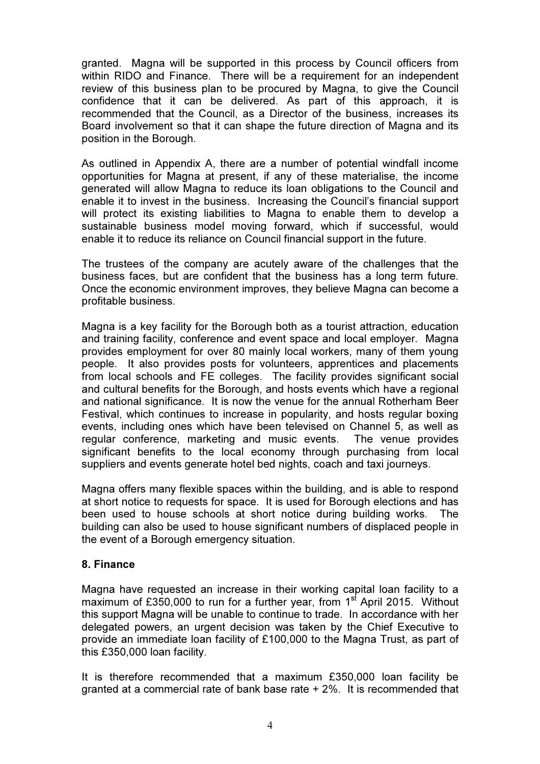granted. Magna will be supported in this process by Council officers from within RIDO and Finance. There will be a requirement for an independent review of this business plan to be procured by Magna, to give the Council confidence that it can be delivered. As part of this approach, it is recommended that the Council, as a Director of the business, increases its Board involvement so that it can shape the future direction of Magna and its position in the Borough.

As outlined in Appendix A, there are a number of potential windfall income opportunities for Magna at present, if any of these materialise, the income generated will allow Magna to reduce its loan obligations to the Council and enable it to invest in the business. Increasing the Council's financial support will protect its existing liabilities to Magna to enable them to develop a sustainable business model moving forward, which if successful, would enable it to reduce its reliance on Council financial support in the future.

The trustees of the company are acutely aware of the challenges that the business faces, but are confident that the business has a long term future. Once the economic environment improves, they believe Magna can become a profitable business.

Magna is a key facility for the Borough both as a tourist attraction, education and training facility, conference and event space and local employer. Magna provides employment for over 80 mainly local workers, many of them young people. It also provides posts for volunteers, apprentices and placements from local schools and FE colleges. The facility provides significant social and cultural benefits for the Borough, and hosts events which have a regional and national significance. It is now the venue for the annual Rotherham Beer Festival, which continues to increase in popularity, and hosts regular boxing events, including ones which have been televised on Channel 5, as well as regular conference, marketing and music events. The venue provides significant benefits to the local economy through purchasing from local suppliers and events generate hotel bed nights, coach and taxi journeys.

Magna offers many flexible spaces within the building, and is able to respond at short notice to requests for space. It is used for Borough elections and has been used to house schools at short notice during building works. The building can also be used to house significant numbers of displaced people in the event of a Borough emergency situation.

#### 8. Finance

Magna have requested an increase in their working capital loan facility to a maximum of £350,000 to run for a further year, from  $1<sup>st</sup>$  April 2015. Without this support Magna will be unable to continue to trade. In accordance with her delegated powers, an urgent decision was taken by the Chief Executive to provide an immediate loan facility of £100,000 to the Magna Trust, as part of this £350,000 loan facility.

It is therefore recommended that a maximum £350,000 loan facility be granted at a commercial rate of bank base rate + 2%. It is recommended that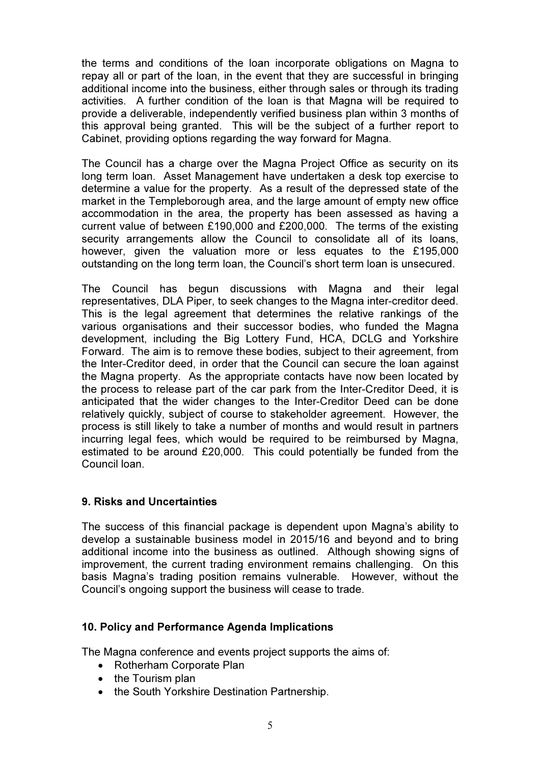the terms and conditions of the loan incorporate obligations on Magna to repay all or part of the loan, in the event that they are successful in bringing additional income into the business, either through sales or through its trading activities. A further condition of the loan is that Magna will be required to provide a deliverable, independently verified business plan within 3 months of this approval being granted. This will be the subject of a further report to Cabinet, providing options regarding the way forward for Magna.

The Council has a charge over the Magna Project Office as security on its long term loan. Asset Management have undertaken a desk top exercise to determine a value for the property. As a result of the depressed state of the market in the Templeborough area, and the large amount of empty new office accommodation in the area, the property has been assessed as having a current value of between £190,000 and £200,000. The terms of the existing security arrangements allow the Council to consolidate all of its loans, however, given the valuation more or less equates to the £195,000 outstanding on the long term loan, the Council's short term loan is unsecured.

The Council has begun discussions with Magna and their legal representatives, DLA Piper, to seek changes to the Magna inter-creditor deed. This is the legal agreement that determines the relative rankings of the various organisations and their successor bodies, who funded the Magna development, including the Big Lottery Fund, HCA, DCLG and Yorkshire Forward. The aim is to remove these bodies, subject to their agreement, from the Inter-Creditor deed, in order that the Council can secure the loan against the Magna property. As the appropriate contacts have now been located by the process to release part of the car park from the Inter-Creditor Deed, it is anticipated that the wider changes to the Inter-Creditor Deed can be done relatively quickly, subject of course to stakeholder agreement. However, the process is still likely to take a number of months and would result in partners incurring legal fees, which would be required to be reimbursed by Magna, estimated to be around £20,000. This could potentially be funded from the Council loan.

### 9. Risks and Uncertainties

The success of this financial package is dependent upon Magna's ability to develop a sustainable business model in 2015/16 and beyond and to bring additional income into the business as outlined. Although showing signs of improvement, the current trading environment remains challenging. On this basis Magna's trading position remains vulnerable. However, without the Council's ongoing support the business will cease to trade.

#### 10. Policy and Performance Agenda Implications

The Magna conference and events project supports the aims of:

- Rotherham Corporate Plan
- the Tourism plan
- the South Yorkshire Destination Partnership.